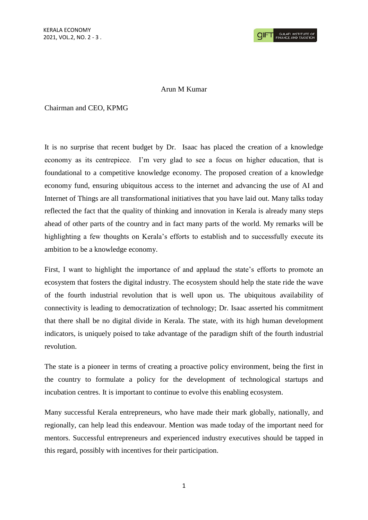## Arun M Kumar

## Chairman and CEO, KPMG

It is no surprise that recent budget by Dr. Isaac has placed the creation of a knowledge economy as its centrepiece. I'm very glad to see a focus on higher education, that is foundational to a competitive knowledge economy. The proposed creation of a knowledge economy fund, ensuring ubiquitous access to the internet and advancing the use of AI and Internet of Things are all transformational initiatives that you have laid out. Many talks today reflected the fact that the quality of thinking and innovation in Kerala is already many steps ahead of other parts of the country and in fact many parts of the world. My remarks will be highlighting a few thoughts on Kerala's efforts to establish and to successfully execute its ambition to be a knowledge economy.

First, I want to highlight the importance of and applaud the state's efforts to promote an ecosystem that fosters the digital industry. The ecosystem should help the state ride the wave of the fourth industrial revolution that is well upon us. The ubiquitous availability of connectivity is leading to democratization of technology; Dr. Isaac asserted his commitment that there shall be no digital divide in Kerala. The state, with its high human development indicators, is uniquely poised to take advantage of the paradigm shift of the fourth industrial revolution.

The state is a pioneer in terms of creating a proactive policy environment, being the first in the country to formulate a policy for the development of technological startups and incubation centres. It is important to continue to evolve this enabling ecosystem.

Many successful Kerala entrepreneurs, who have made their mark globally, nationally, and regionally, can help lead this endeavour. Mention was made today of the important need for mentors. Successful entrepreneurs and experienced industry executives should be tapped in this regard, possibly with incentives for their participation.

1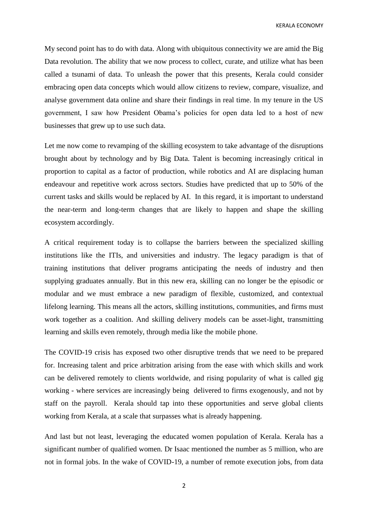KERALA ECONOMY

My second point has to do with data. Along with ubiquitous connectivity we are amid the Big Data revolution. The ability that we now process to collect, curate, and utilize what has been called a tsunami of data. To unleash the power that this presents, Kerala could consider embracing open data concepts which would allow citizens to review, compare, visualize, and analyse government data online and share their findings in real time. In my tenure in the US government, I saw how President Obama's policies for open data led to a host of new businesses that grew up to use such data.

Let me now come to revamping of the skilling ecosystem to take advantage of the disruptions brought about by technology and by Big Data. Talent is becoming increasingly critical in proportion to capital as a factor of production, while robotics and AI are displacing human endeavour and repetitive work across sectors. Studies have predicted that up to 50% of the current tasks and skills would be replaced by AI. In this regard, it is important to understand the near-term and long-term changes that are likely to happen and shape the skilling ecosystem accordingly.

A critical requirement today is to collapse the barriers between the specialized skilling institutions like the ITIs, and universities and industry. The legacy paradigm is that of training institutions that deliver programs anticipating the needs of industry and then supplying graduates annually. But in this new era, skilling can no longer be the episodic or modular and we must embrace a new paradigm of flexible, customized, and contextual lifelong learning. This means all the actors, skilling institutions, communities, and firms must work together as a coalition. And skilling delivery models can be asset-light, transmitting learning and skills even remotely, through media like the mobile phone.

The COVID-19 crisis has exposed two other disruptive trends that we need to be prepared for. Increasing talent and price arbitration arising from the ease with which skills and work can be delivered remotely to clients worldwide, and rising popularity of what is called gig working - where services are increasingly being delivered to firms exogenously, and not by staff on the payroll. Kerala should tap into these opportunities and serve global clients working from Kerala, at a scale that surpasses what is already happening.

And last but not least, leveraging the educated women population of Kerala. Kerala has a significant number of qualified women. Dr Isaac mentioned the number as 5 million, who are not in formal jobs. In the wake of COVID-19, a number of remote execution jobs, from data

2